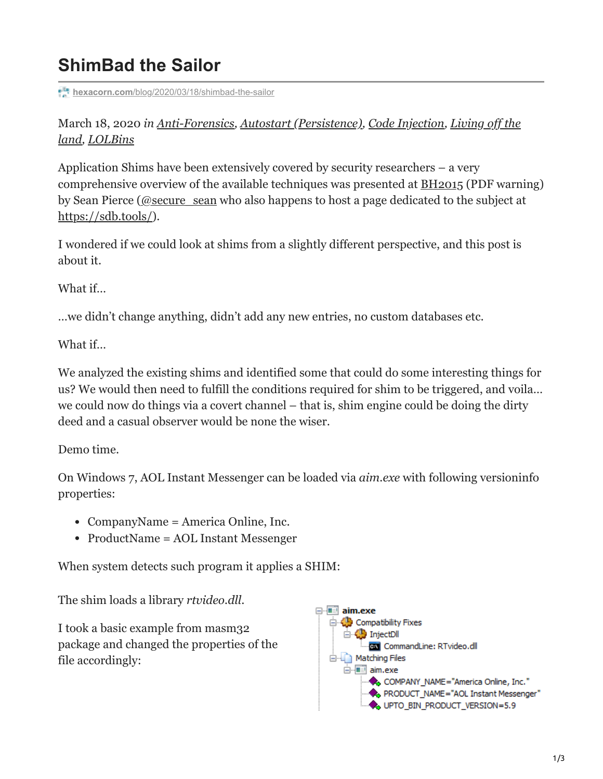## **ShimBad the Sailor**

**hexacorn.com**[/blog/2020/03/18/shimbad-the-sailor](https://www.hexacorn.com/blog/2020/03/18/shimbad-the-sailor/)

March 18, 2020 *[in A](https://www.hexacorn.com/blog/category/living-off-the-land/)[nti-Forensics](https://www.hexacorn.com/blog/category/anti-forensics/)[,](https://www.hexacorn.com/blog/category/living-off-the-land/) [Autostart \(Persistence\)](https://www.hexacorn.com/blog/category/autostart-persistence/)[,](https://www.hexacorn.com/blog/category/living-off-the-land/) [Code Injection](https://www.hexacorn.com/blog/category/code-injection/)[, Living off the](https://www.hexacorn.com/blog/category/living-off-the-land/) land, [LOLBins](https://www.hexacorn.com/blog/category/living-off-the-land/lolbins/)*

Application Shims have been extensively covered by security researchers – a very comprehensive overview of the available techniques was presented at [BH2015](https://www.blackhat.com/docs/eu-15/materials/eu-15-Pierce-Defending-Against-Malicious-Application-Compatibility-Shims-wp.pdf) (PDF warning) by Sean Pierce [\(@secure\\_sean](https://twitter.com/secure_sean) who also happens to host a page dedicated to the subject at <https://sdb.tools/>).

I wondered if we could look at shims from a slightly different perspective, and this post is about it.

What if…

…we didn't change anything, didn't add any new entries, no custom databases etc.

What if…

We analyzed the existing shims and identified some that could do some interesting things for us? We would then need to fulfill the conditions required for shim to be triggered, and voila… we could now do things via a covert channel – that is, shim engine could be doing the dirty deed and a casual observer would be none the wiser.

Demo time.

On Windows 7, AOL Instant Messenger can be loaded via *aim.exe* with following versioninfo properties:

- CompanyName = America Online, Inc.
- ProductName = AOL Instant Messenger

When system detects such program it applies a SHIM:

The shim loads a library *rtvideo.dll*.

I took a basic example from masm32 package and changed the properties of the file accordingly:

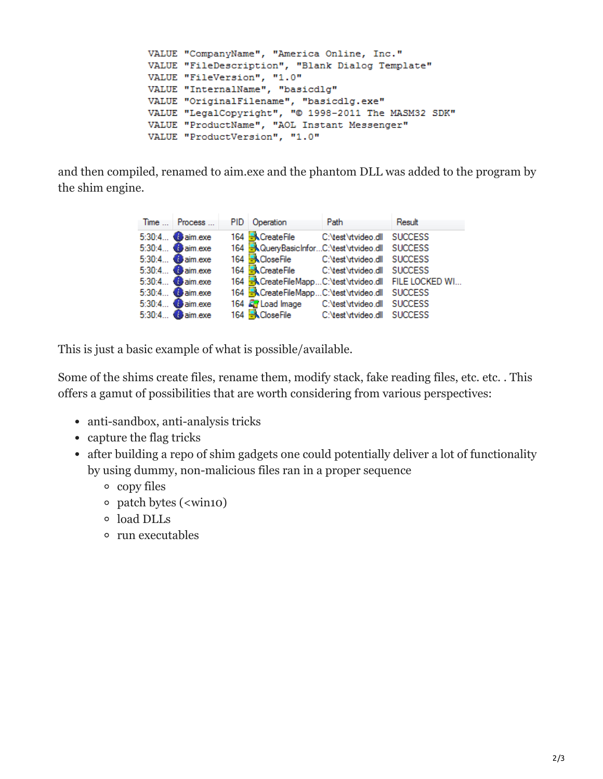```
VALUE "CompanyName", "America Online, Inc."
VALUE "FileDescription", "Blank Dialog Template"
VALUE "FileVersion", "1.0"
VALUE "InternalName", "basicdlg"
VALUE "OriginalFilename", "basicdlg.exe"
VALUE "LegalCopyright", "© 1998-2011 The MASM32 SDK"
VALUE "ProductName", "AOL Instant Messenger"
VALUE "ProductVersion", "1.0"
```
and then compiled, renamed to aim.exe and the phantom DLL was added to the program by the shim engine.

| Time  Process  | PID Operation                                           | Path | Result                                                        |
|----------------|---------------------------------------------------------|------|---------------------------------------------------------------|
| 5:30:4 aim.exe | 164 CreateFile C:\test\rtvideo.dll SUCCESS              |      |                                                               |
| 5:30:4 aim.exe | 164 <b>A</b> QueryBasicInforC:\test\rtvideo.dll SUCCESS |      |                                                               |
| 5:30:4 aim.exe | 164 <b>KCloseFile</b> C:\test\rtvideo.dll SUCCESS       |      |                                                               |
| 5:30:4 aim.exe | 164 CreateFile C:\test\rtvideo.dll SUCCESS              |      |                                                               |
| 5:30:4 aim.exe |                                                         |      | 164 <b>R</b> CreateFileMappC:\test\rtvideo.dll FILE LOCKED WI |
| 5:30:4 aim.exe | 164 <b>K</b> CreateFileMappC:\test\rtvideo.dll SUCCESS  |      |                                                               |
| 5:30:4 aim.exe | 164 2 Load Image C:\test\rtvideo.dll SUCCESS            |      |                                                               |
| 5:30:4 aim.exe | 164 CloseFile C:\test\rtvideo.dll SUCCESS               |      |                                                               |

This is just a basic example of what is possible/available.

Some of the shims create files, rename them, modify stack, fake reading files, etc. etc. . This offers a gamut of possibilities that are worth considering from various perspectives:

- anti-sandbox, anti-analysis tricks
- capture the flag tricks
- after building a repo of shim gadgets one could potentially deliver a lot of functionality by using dummy, non-malicious files ran in a proper sequence
	- copy files
	- patch bytes (<win10)
	- load DLLs
	- run executables